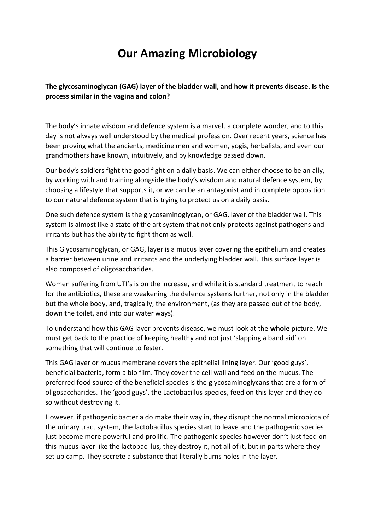## **Our Amazing Microbiology**

## **The glycosaminoglycan (GAG) layer of the bladder wall, and how it prevents disease. Is the process similar in the vagina and colon?**

The body's innate wisdom and defence system is a marvel, a complete wonder, and to this day is not always well understood by the medical profession. Over recent years, science has been proving what the ancients, medicine men and women, yogis, herbalists, and even our grandmothers have known, intuitively, and by knowledge passed down.

Our body's soldiers fight the good fight on a daily basis. We can either choose to be an ally, by working with and training alongside the body's wisdom and natural defence system, by choosing a lifestyle that supports it, or we can be an antagonist and in complete opposition to our natural defence system that is trying to protect us on a daily basis.

One such defence system is the glycosaminoglycan, or GAG, layer of the bladder wall. This system is almost like a state of the art system that not only protects against pathogens and irritants but has the ability to fight them as well.

This Glycosaminoglycan, or GAG, layer is a mucus layer covering the epithelium and creates a barrier between urine and irritants and the underlying bladder wall. This surface layer is also composed of oligosaccharides.

Women suffering from UTI's is on the increase, and while it is standard treatment to reach for the antibiotics, these are weakening the defence systems further, not only in the bladder but the whole body, and, tragically, the environment, (as they are passed out of the body, down the toilet, and into our water ways).

To understand how this GAG layer prevents disease, we must look at the **whole** picture. We must get back to the practice of keeping healthy and not just 'slapping a band aid' on something that will continue to fester.

This GAG layer or mucus membrane covers the epithelial lining layer. Our 'good guys', beneficial bacteria, form a bio film. They cover the cell wall and feed on the mucus. The preferred food source of the beneficial species is the glycosaminoglycans that are a form of oligosaccharides. The 'good guys', the Lactobacillus species, feed on this layer and they do so without destroying it.

However, if pathogenic bacteria do make their way in, they disrupt the normal microbiota of the urinary tract system, the lactobacillus species start to leave and the pathogenic species just become more powerful and prolific. The pathogenic species however don't just feed on this mucus layer like the lactobacillus, they destroy it, not all of it, but in parts where they set up camp. They secrete a substance that literally burns holes in the layer.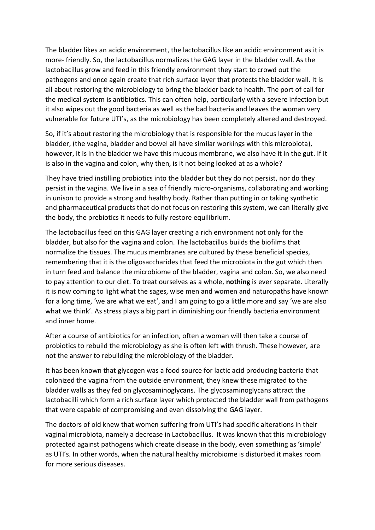The bladder likes an acidic environment, the lactobacillus like an acidic environment as it is more- friendly. So, the lactobacillus normalizes the GAG layer in the bladder wall. As the lactobacillus grow and feed in this friendly environment they start to crowd out the pathogens and once again create that rich surface layer that protects the bladder wall. It is all about restoring the microbiology to bring the bladder back to health. The port of call for the medical system is antibiotics. This can often help, particularly with a severe infection but it also wipes out the good bacteria as well as the bad bacteria and leaves the woman very vulnerable for future UTI's, as the microbiology has been completely altered and destroyed.

So, if it's about restoring the microbiology that is responsible for the mucus layer in the bladder, (the vagina, bladder and bowel all have similar workings with this microbiota), however, it is in the bladder we have this mucous membrane, we also have it in the gut. If it is also in the vagina and colon, why then, is it not being looked at as a whole?

They have tried instilling probiotics into the bladder but they do not persist, nor do they persist in the vagina. We live in a sea of friendly micro-organisms, collaborating and working in unison to provide a strong and healthy body. Rather than putting in or taking synthetic and pharmaceutical products that do not focus on restoring this system, we can literally give the body, the prebiotics it needs to fully restore equilibrium.

The lactobacillus feed on this GAG layer creating a rich environment not only for the bladder, but also for the vagina and colon. The lactobacillus builds the biofilms that normalize the tissues. The mucus membranes are cultured by these beneficial species, remembering that it is the oligosaccharides that feed the microbiota in the gut which then in turn feed and balance the microbiome of the bladder, vagina and colon. So, we also need to pay attention to our diet. To treat ourselves as a whole, **nothing** is ever separate. Literally it is now coming to light what the sages, wise men and women and naturopaths have known for a long time, 'we are what we eat', and I am going to go a little more and say 'we are also what we think'. As stress plays a big part in diminishing our friendly bacteria environment and inner home.

After a course of antibiotics for an infection, often a woman will then take a course of probiotics to rebuild the microbiology as she is often left with thrush. These however, are not the answer to rebuilding the microbiology of the bladder.

It has been known that glycogen was a food source for lactic acid producing bacteria that colonized the vagina from the outside environment, they knew these migrated to the bladder walls as they fed on glycosaminoglycans. The glycosaminoglycans attract the lactobacilli which form a rich surface layer which protected the bladder wall from pathogens that were capable of compromising and even dissolving the GAG layer.

The doctors of old knew that women suffering from UTI's had specific alterations in their vaginal microbiota, namely a decrease in Lactobacillus. It was known that this microbiology protected against pathogens which create disease in the body, even something as 'simple' as UTI's. In other words, when the natural healthy microbiome is disturbed it makes room for more serious diseases.